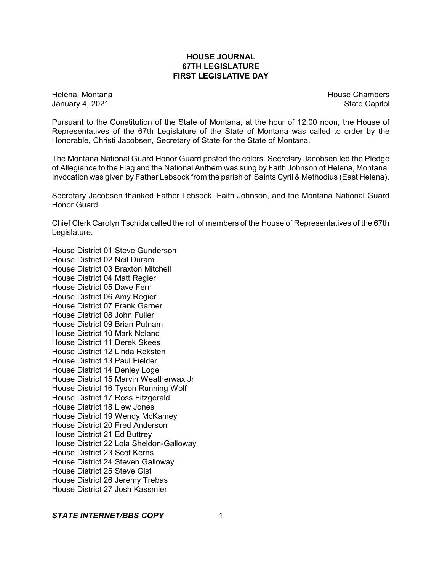### **HOUSE JOURNAL 67TH LEGISLATURE FIRST LEGISLATIVE DAY**

Helena, Montana **House Chambers** House Chambers **House Chambers** House Chambers **House Chambers** January 4, 2021 **State Capitol** 

Pursuant to the Constitution of the State of Montana, at the hour of 12:00 noon, the House of Representatives of the 67th Legislature of the State of Montana was called to order by the Honorable, Christi Jacobsen, Secretary of State for the State of Montana.

The Montana National Guard Honor Guard posted the colors. Secretary Jacobsen led the Pledge of Allegiance to the Flag and the National Anthem was sung by Faith Johnson of Helena, Montana. Invocation was given by Father Lebsock from the parish of Saints Cyril & Methodius (East Helena).

Secretary Jacobsen thanked Father Lebsock, Faith Johnson, and the Montana National Guard Honor Guard.

Chief Clerk Carolyn Tschida called the roll of members of the House of Representatives of the 67th Legislature.

House District 01 Steve Gunderson House District 02 Neil Duram House District 03 Braxton Mitchell House District 04 Matt Regier House District 05 Dave Fern House District 06 Amy Regier House District 07 Frank Garner House District 08 John Fuller House District 09 Brian Putnam House District 10 Mark Noland House District 11 Derek Skees House District 12 Linda Reksten House District 13 Paul Fielder House District 14 Denley Loge House District 15 Marvin Weatherwax Jr House District 16 Tyson Running Wolf House District 17 Ross Fitzgerald House District 18 Llew Jones House District 19 Wendy McKamey House District 20 Fred Anderson House District 21 Ed Buttrey House District 22 Lola Sheldon-Galloway House District 23 Scot Kerns House District 24 Steven Galloway House District 25 Steve Gist House District 26 Jeremy Trebas House District 27 Josh Kassmier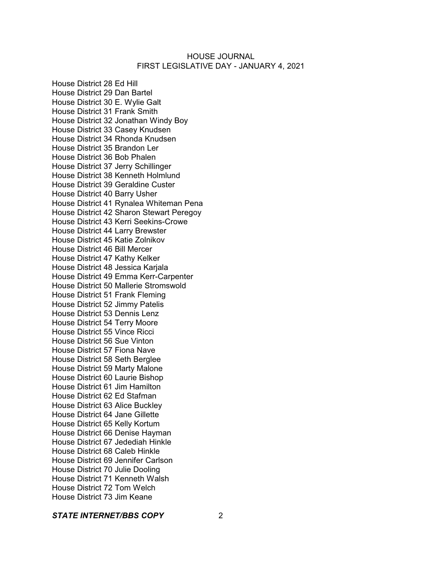House District 28 Ed Hill House District 29 Dan Bartel House District 30 E. Wylie Galt House District 31 Frank Smith House District 32 Jonathan Windy Boy House District 33 Casey Knudsen House District 34 Rhonda Knudsen House District 35 Brandon Ler House District 36 Bob Phalen House District 37 Jerry Schillinger House District 38 Kenneth Holmlund House District 39 Geraldine Custer House District 40 Barry Usher House District 41 Rynalea Whiteman Pena House District 42 Sharon Stewart Peregoy House District 43 Kerri Seekins-Crowe House District 44 Larry Brewster House District 45 Katie Zolnikov House District 46 Bill Mercer House District 47 Kathy Kelker House District 48 Jessica Karjala House District 49 Emma Kerr-Carpenter House District 50 Mallerie Stromswold House District 51 Frank Fleming House District 52 Jimmy Patelis House District 53 Dennis Lenz House District 54 Terry Moore House District 55 Vince Ricci House District 56 Sue Vinton House District 57 Fiona Nave House District 58 Seth Berglee House District 59 Marty Malone House District 60 Laurie Bishop House District 61 Jim Hamilton House District 62 Ed Stafman House District 63 Alice Buckley House District 64 Jane Gillette House District 65 Kelly Kortum House District 66 Denise Hayman House District 67 Jedediah Hinkle House District 68 Caleb Hinkle House District 69 Jennifer Carlson House District 70 Julie Dooling House District 71 Kenneth Walsh House District 72 Tom Welch House District 73 Jim Keane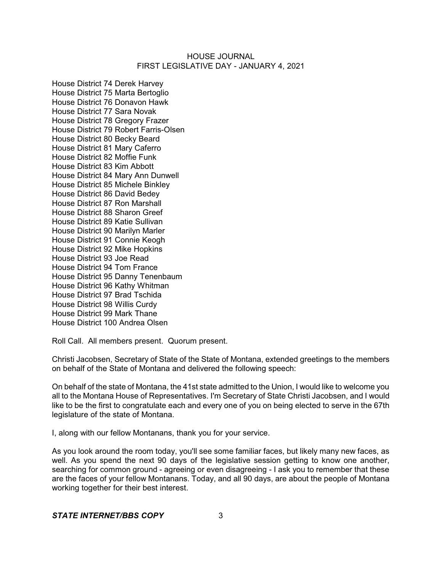House District 74 Derek Harvey House District 75 Marta Bertoglio House District 76 Donavon Hawk House District 77 Sara Novak House District 78 Gregory Frazer House District 79 Robert Farris-Olsen House District 80 Becky Beard House District 81 Mary Caferro House District 82 Moffie Funk House District 83 Kim Abbott House District 84 Mary Ann Dunwell House District 85 Michele Binkley House District 86 David Bedey House District 87 Ron Marshall House District 88 Sharon Greef House District 89 Katie Sullivan House District 90 Marilyn Marler House District 91 Connie Keogh House District 92 Mike Hopkins House District 93 Joe Read House District 94 Tom France House District 95 Danny Tenenbaum House District 96 Kathy Whitman House District 97 Brad Tschida House District 98 Willis Curdy House District 99 Mark Thane House District 100 Andrea Olsen

Roll Call. All members present. Quorum present.

Christi Jacobsen, Secretary of State of the State of Montana, extended greetings to the members on behalf of the State of Montana and delivered the following speech:

On behalf of the state of Montana, the 41st state admitted to the Union, I would like to welcome you all to the Montana House of Representatives. I'm Secretary of State Christi Jacobsen, and I would like to be the first to congratulate each and every one of you on being elected to serve in the 67th legislature of the state of Montana.

I, along with our fellow Montanans, thank you for your service.

As you look around the room today, you'll see some familiar faces, but likely many new faces, as well. As you spend the next 90 days of the legislative session getting to know one another, searching for common ground - agreeing or even disagreeing - I ask you to remember that these are the faces of your fellow Montanans. Today, and all 90 days, are about the people of Montana working together for their best interest.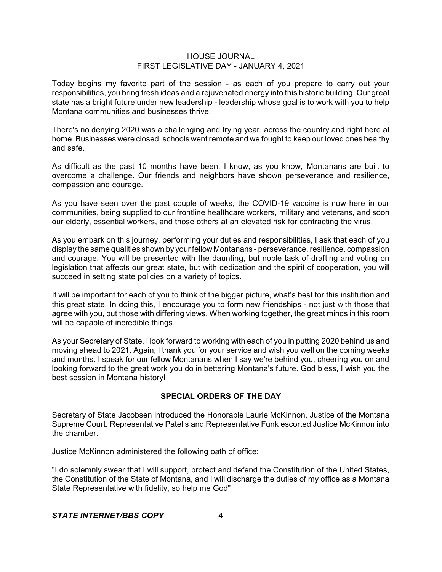Today begins my favorite part of the session - as each of you prepare to carry out your responsibilities, you bring fresh ideas and a rejuvenated energy into this historic building. Our great state has a bright future under new leadership - leadership whose goal is to work with you to help Montana communities and businesses thrive.

There's no denying 2020 was a challenging and trying year, across the country and right here at home. Businesses were closed, schools went remote and we fought to keep our loved ones healthy and safe.

As difficult as the past 10 months have been, I know, as you know, Montanans are built to overcome a challenge. Our friends and neighbors have shown perseverance and resilience, compassion and courage.

As you have seen over the past couple of weeks, the COVID-19 vaccine is now here in our communities, being supplied to our frontline healthcare workers, military and veterans, and soon our elderly, essential workers, and those others at an elevated risk for contracting the virus.

As you embark on this journey, performing your duties and responsibilities, I ask that each of you display the same qualities shown by your fellow Montanans - perseverance, resilience, compassion and courage. You will be presented with the daunting, but noble task of drafting and voting on legislation that affects our great state, but with dedication and the spirit of cooperation, you will succeed in setting state policies on a variety of topics.

It will be important for each of you to think of the bigger picture, what's best for this institution and this great state. In doing this, I encourage you to form new friendships - not just with those that agree with you, but those with differing views. When working together, the great minds in this room will be capable of incredible things.

As your Secretary of State, I look forward to working with each of you in putting 2020 behind us and moving ahead to 2021. Again, I thank you for your service and wish you well on the coming weeks and months. I speak for our fellow Montanans when I say we're behind you, cheering you on and looking forward to the great work you do in bettering Montana's future. God bless, I wish you the best session in Montana history!

# **SPECIAL ORDERS OF THE DAY**

Secretary of State Jacobsen introduced the Honorable Laurie McKinnon, Justice of the Montana Supreme Court. Representative Patelis and Representative Funk escorted Justice McKinnon into the chamber.

Justice McKinnon administered the following oath of office:

"I do solemnly swear that I will support, protect and defend the Constitution of the United States, the Constitution of the State of Montana, and I will discharge the duties of my office as a Montana State Representative with fidelity, so help me God"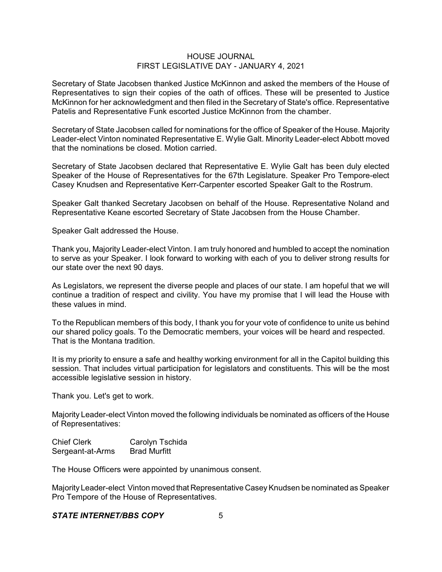Secretary of State Jacobsen thanked Justice McKinnon and asked the members of the House of Representatives to sign their copies of the oath of offices. These will be presented to Justice McKinnon for her acknowledgment and then filed in the Secretary of State's office. Representative Patelis and Representative Funk escorted Justice McKinnon from the chamber.

Secretary of State Jacobsen called for nominations for the office of Speaker of the House. Majority Leader-elect Vinton nominated Representative E. Wylie Galt. Minority Leader-elect Abbott moved that the nominations be closed. Motion carried.

Secretary of State Jacobsen declared that Representative E. Wylie Galt has been duly elected Speaker of the House of Representatives for the 67th Legislature. Speaker Pro Tempore-elect Casey Knudsen and Representative Kerr-Carpenter escorted Speaker Galt to the Rostrum.

Speaker Galt thanked Secretary Jacobsen on behalf of the House. Representative Noland and Representative Keane escorted Secretary of State Jacobsen from the House Chamber.

Speaker Galt addressed the House.

Thank you, Majority Leader-elect Vinton. I am truly honored and humbled to accept the nomination to serve as your Speaker. I look forward to working with each of you to deliver strong results for our state over the next 90 days.

As Legislators, we represent the diverse people and places of our state. I am hopeful that we will continue a tradition of respect and civility. You have my promise that I will lead the House with these values in mind.

To the Republican members of this body, I thank you for your vote of confidence to unite us behind our shared policy goals. To the Democratic members, your voices will be heard and respected. That is the Montana tradition.

It is my priority to ensure a safe and healthy working environment for all in the Capitol building this session. That includes virtual participation for legislators and constituents. This will be the most accessible legislative session in history.

Thank you. Let's get to work.

Majority Leader-elect Vinton moved the following individuals be nominated as officers of the House of Representatives:

Chief Clerk Carolyn Tschida Sergeant-at-Arms Brad Murfitt

The House Officers were appointed by unanimous consent.

Majority Leader-elect Vinton moved that Representative CaseyKnudsen be nominated as Speaker Pro Tempore of the House of Representatives.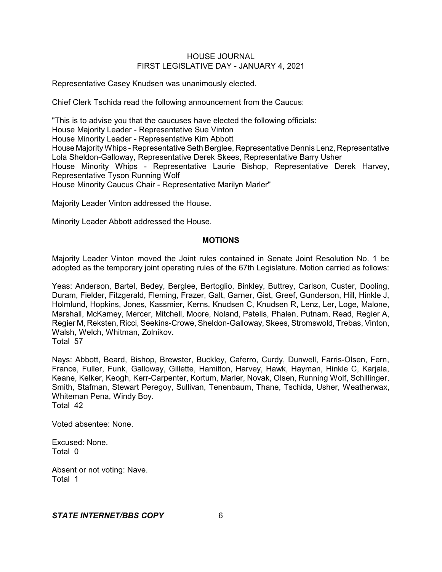Representative Casey Knudsen was unanimously elected.

Chief Clerk Tschida read the following announcement from the Caucus:

"This is to advise you that the caucuses have elected the following officials: House Majority Leader - Representative Sue Vinton House Minority Leader - Representative Kim Abbott House MajorityWhips - Representative Seth Berglee, Representative Dennis Lenz, Representative Lola Sheldon-Galloway, Representative Derek Skees, Representative Barry Usher House Minority Whips - Representative Laurie Bishop, Representative Derek Harvey, Representative Tyson Running Wolf House Minority Caucus Chair - Representative Marilyn Marler"

Majority Leader Vinton addressed the House.

Minority Leader Abbott addressed the House.

#### **MOTIONS**

Majority Leader Vinton moved the Joint rules contained in Senate Joint Resolution No. 1 be adopted as the temporary joint operating rules of the 67th Legislature. Motion carried as follows:

Yeas: Anderson, Bartel, Bedey, Berglee, Bertoglio, Binkley, Buttrey, Carlson, Custer, Dooling, Duram, Fielder, Fitzgerald, Fleming, Frazer, Galt, Garner, Gist, Greef, Gunderson, Hill, Hinkle J, Holmlund, Hopkins, Jones, Kassmier, Kerns, Knudsen C, Knudsen R, Lenz, Ler, Loge, Malone, Marshall, McKamey, Mercer, Mitchell, Moore, Noland, Patelis, Phalen, Putnam, Read, Regier A, Regier M, Reksten, Ricci, Seekins-Crowe, Sheldon-Galloway, Skees, Stromswold, Trebas, Vinton, Walsh, Welch, Whitman, Zolnikov. Total 57

Nays: Abbott, Beard, Bishop, Brewster, Buckley, Caferro, Curdy, Dunwell, Farris-Olsen, Fern, France, Fuller, Funk, Galloway, Gillette, Hamilton, Harvey, Hawk, Hayman, Hinkle C, Karjala, Keane, Kelker, Keogh, Kerr-Carpenter, Kortum, Marler, Novak, Olsen, Running Wolf, Schillinger, Smith, Stafman, Stewart Peregoy, Sullivan, Tenenbaum, Thane, Tschida, Usher, Weatherwax, Whiteman Pena, Windy Boy. Total 42

Voted absentee: None.

Excused: None. Total 0

Absent or not voting: Nave. Total 1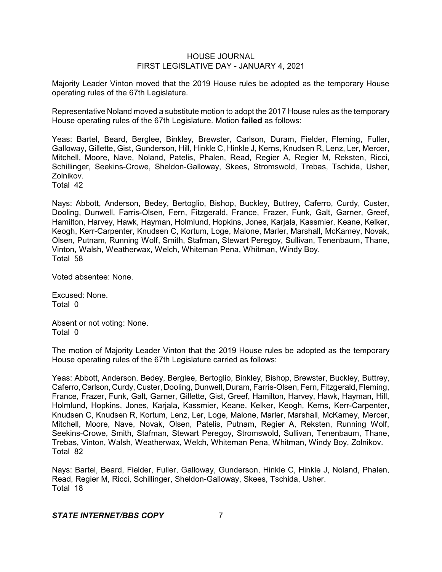Majority Leader Vinton moved that the 2019 House rules be adopted as the temporary House operating rules of the 67th Legislature.

Representative Noland moved a substitute motion to adopt the 2017 House rules as the temporary House operating rules of the 67th Legislature. Motion **failed** as follows:

Yeas: Bartel, Beard, Berglee, Binkley, Brewster, Carlson, Duram, Fielder, Fleming, Fuller, Galloway, Gillette, Gist, Gunderson, Hill, Hinkle C, Hinkle J, Kerns, Knudsen R, Lenz, Ler, Mercer, Mitchell, Moore, Nave, Noland, Patelis, Phalen, Read, Regier A, Regier M, Reksten, Ricci, Schillinger, Seekins-Crowe, Sheldon-Galloway, Skees, Stromswold, Trebas, Tschida, Usher, Zolnikov.

Total 42

Nays: Abbott, Anderson, Bedey, Bertoglio, Bishop, Buckley, Buttrey, Caferro, Curdy, Custer, Dooling, Dunwell, Farris-Olsen, Fern, Fitzgerald, France, Frazer, Funk, Galt, Garner, Greef, Hamilton, Harvey, Hawk, Hayman, Holmlund, Hopkins, Jones, Karjala, Kassmier, Keane, Kelker, Keogh, Kerr-Carpenter, Knudsen C, Kortum, Loge, Malone, Marler, Marshall, McKamey, Novak, Olsen, Putnam, Running Wolf, Smith, Stafman, Stewart Peregoy, Sullivan, Tenenbaum, Thane, Vinton, Walsh, Weatherwax, Welch, Whiteman Pena, Whitman, Windy Boy. Total 58

Voted absentee: None.

Excused: None. Total 0

Absent or not voting: None. Total 0

The motion of Majority Leader Vinton that the 2019 House rules be adopted as the temporary House operating rules of the 67th Legislature carried as follows:

Yeas: Abbott, Anderson, Bedey, Berglee, Bertoglio, Binkley, Bishop, Brewster, Buckley, Buttrey, Caferro, Carlson, Curdy, Custer, Dooling, Dunwell, Duram, Farris-Olsen, Fern, Fitzgerald, Fleming, France, Frazer, Funk, Galt, Garner, Gillette, Gist, Greef, Hamilton, Harvey, Hawk, Hayman, Hill, Holmlund, Hopkins, Jones, Karjala, Kassmier, Keane, Kelker, Keogh, Kerns, Kerr-Carpenter, Knudsen C, Knudsen R, Kortum, Lenz, Ler, Loge, Malone, Marler, Marshall, McKamey, Mercer, Mitchell, Moore, Nave, Novak, Olsen, Patelis, Putnam, Regier A, Reksten, Running Wolf, Seekins-Crowe, Smith, Stafman, Stewart Peregoy, Stromswold, Sullivan, Tenenbaum, Thane, Trebas, Vinton, Walsh, Weatherwax, Welch, Whiteman Pena, Whitman, Windy Boy, Zolnikov. Total 82

Nays: Bartel, Beard, Fielder, Fuller, Galloway, Gunderson, Hinkle C, Hinkle J, Noland, Phalen, Read, Regier M, Ricci, Schillinger, Sheldon-Galloway, Skees, Tschida, Usher. Total 18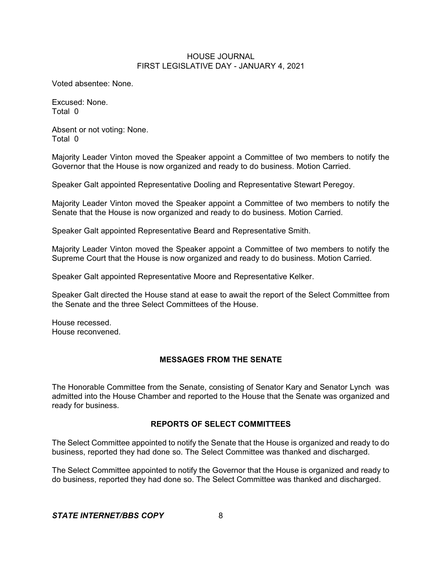Voted absentee: None.

Excused: None. Total 0

Absent or not voting: None. Total 0

Majority Leader Vinton moved the Speaker appoint a Committee of two members to notify the Governor that the House is now organized and ready to do business. Motion Carried.

Speaker Galt appointed Representative Dooling and Representative Stewart Peregoy.

Majority Leader Vinton moved the Speaker appoint a Committee of two members to notify the Senate that the House is now organized and ready to do business. Motion Carried.

Speaker Galt appointed Representative Beard and Representative Smith.

Majority Leader Vinton moved the Speaker appoint a Committee of two members to notify the Supreme Court that the House is now organized and ready to do business. Motion Carried.

Speaker Galt appointed Representative Moore and Representative Kelker.

Speaker Galt directed the House stand at ease to await the report of the Select Committee from the Senate and the three Select Committees of the House.

House recessed. House reconvened.

#### **MESSAGES FROM THE SENATE**

The Honorable Committee from the Senate, consisting of Senator Kary and Senator Lynch was admitted into the House Chamber and reported to the House that the Senate was organized and ready for business.

#### **REPORTS OF SELECT COMMITTEES**

The Select Committee appointed to notify the Senate that the House is organized and ready to do business, reported they had done so. The Select Committee was thanked and discharged.

The Select Committee appointed to notify the Governor that the House is organized and ready to do business, reported they had done so. The Select Committee was thanked and discharged.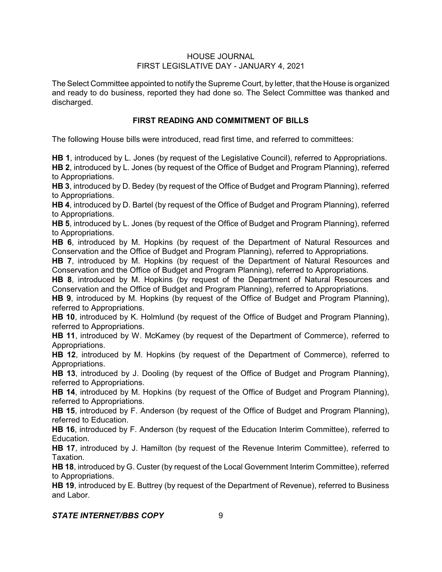The Select Committee appointed to notify the Supreme Court, by letter, that the House is organized and ready to do business, reported they had done so. The Select Committee was thanked and discharged.

# **FIRST READING AND COMMITMENT OF BILLS**

The following House bills were introduced, read first time, and referred to committees:

**HB 1**, introduced by L. Jones (by request of the Legislative Council), referred to Appropriations.

**HB 2**, introduced by L. Jones (by request of the Office of Budget and Program Planning), referred to Appropriations.

**HB 3**, introduced by D. Bedey (by request of the Office of Budget and Program Planning), referred to Appropriations.

**HB 4**, introduced by D. Bartel (by request of the Office of Budget and Program Planning), referred to Appropriations.

**HB 5**, introduced by L. Jones (by request of the Office of Budget and Program Planning), referred to Appropriations.

**HB 6**, introduced by M. Hopkins (by request of the Department of Natural Resources and Conservation and the Office of Budget and Program Planning), referred to Appropriations.

**HB 7**, introduced by M. Hopkins (by request of the Department of Natural Resources and Conservation and the Office of Budget and Program Planning), referred to Appropriations.

**HB 8**, introduced by M. Hopkins (by request of the Department of Natural Resources and Conservation and the Office of Budget and Program Planning), referred to Appropriations.

**HB 9**, introduced by M. Hopkins (by request of the Office of Budget and Program Planning), referred to Appropriations.

**HB 10**, introduced by K. Holmlund (by request of the Office of Budget and Program Planning), referred to Appropriations.

**HB 11**, introduced by W. McKamey (by request of the Department of Commerce), referred to Appropriations.

**HB 12**, introduced by M. Hopkins (by request of the Department of Commerce), referred to Appropriations.

**HB 13**, introduced by J. Dooling (by request of the Office of Budget and Program Planning), referred to Appropriations.

**HB 14**, introduced by M. Hopkins (by request of the Office of Budget and Program Planning), referred to Appropriations.

**HB 15**, introduced by F. Anderson (by request of the Office of Budget and Program Planning), referred to Education.

**HB 16**, introduced by F. Anderson (by request of the Education Interim Committee), referred to Education.

**HB 17**, introduced by J. Hamilton (by request of the Revenue Interim Committee), referred to Taxation.

**HB 18**, introduced by G. Custer (by request of the Local Government Interim Committee), referred to Appropriations.

**HB 19**, introduced by E. Buttrey (by request of the Department of Revenue), referred to Business and Labor.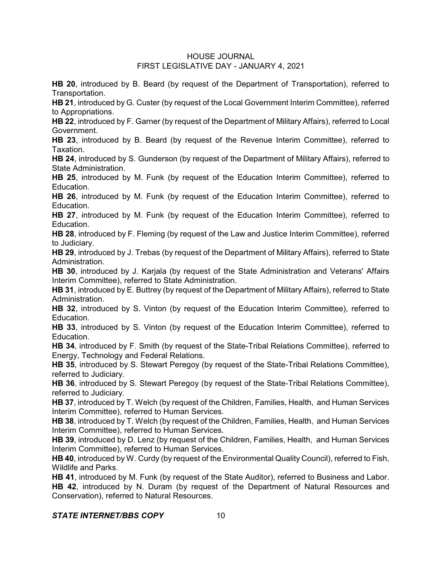**HB 20**, introduced by B. Beard (by request of the Department of Transportation), referred to Transportation.

**HB 21**, introduced by G. Custer (by request of the Local Government Interim Committee), referred to Appropriations.

**HB 22**, introduced by F. Garner (by request of the Department of Military Affairs), referred to Local Government.

**HB 23**, introduced by B. Beard (by request of the Revenue Interim Committee), referred to Taxation.

**HB 24**, introduced by S. Gunderson (by request of the Department of Military Affairs), referred to State Administration.

**HB 25**, introduced by M. Funk (by request of the Education Interim Committee), referred to Education.

**HB 26**, introduced by M. Funk (by request of the Education Interim Committee), referred to Education.

**HB 27**, introduced by M. Funk (by request of the Education Interim Committee), referred to Education.

**HB 28**, introduced by F. Fleming (by request of the Law and Justice Interim Committee), referred to Judiciary.

**HB 29**, introduced by J. Trebas (by request of the Department of Military Affairs), referred to State Administration.

**HB 30**, introduced by J. Karjala (by request of the State Administration and Veterans' Affairs Interim Committee), referred to State Administration.

**HB 31**, introduced by E. Buttrey (by request of the Department of Military Affairs), referred to State Administration.

**HB 32**, introduced by S. Vinton (by request of the Education Interim Committee), referred to Education.

**HB 33**, introduced by S. Vinton (by request of the Education Interim Committee), referred to Education.

**HB 34**, introduced by F. Smith (by request of the State-Tribal Relations Committee), referred to Energy, Technology and Federal Relations.

**HB 35**, introduced by S. Stewart Peregoy (by request of the State-Tribal Relations Committee), referred to Judiciary.

**HB 36**, introduced by S. Stewart Peregoy (by request of the State-Tribal Relations Committee), referred to Judiciary.

**HB 37**, introduced by T. Welch (by request of the Children, Families, Health, and Human Services Interim Committee), referred to Human Services.

**HB 38**, introduced by T. Welch (by request of the Children, Families, Health, and Human Services Interim Committee), referred to Human Services.

**HB 39**, introduced by D. Lenz (by request of the Children, Families, Health, and Human Services Interim Committee), referred to Human Services.

**HB 40**, introduced by W. Curdy (by request of the Environmental Quality Council), referred to Fish, Wildlife and Parks.

**HB 41**, introduced by M. Funk (by request of the State Auditor), referred to Business and Labor. **HB 42**, introduced by N. Duram (by request of the Department of Natural Resources and Conservation), referred to Natural Resources.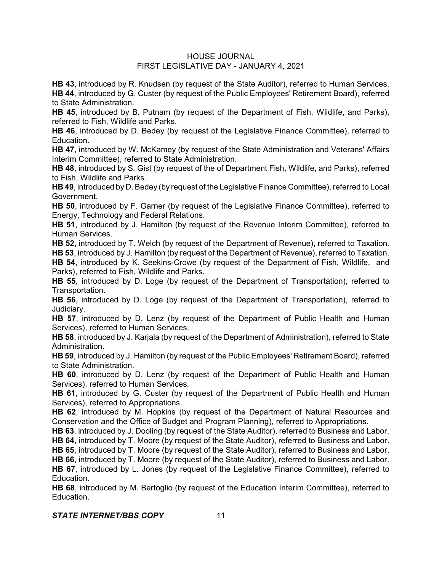**HB 43**, introduced by R. Knudsen (by request of the State Auditor), referred to Human Services. **HB 44**, introduced by G. Custer (by request of the Public Employees' Retirement Board), referred to State Administration.

**HB 45**, introduced by B. Putnam (by request of the Department of Fish, Wildlife, and Parks), referred to Fish, Wildlife and Parks.

**HB 46**, introduced by D. Bedey (by request of the Legislative Finance Committee), referred to Education.

**HB 47**, introduced by W. McKamey (by request of the State Administration and Veterans' Affairs Interim Committee), referred to State Administration.

**HB 48**, introduced by S. Gist (by request of the of Department Fish, Wildlife, and Parks), referred to Fish, Wildlife and Parks.

**HB 49**, introduced by D. Bedey (by request of the Legislative Finance Committee), referred to Local Government.

**HB 50**, introduced by F. Garner (by request of the Legislative Finance Committee), referred to Energy, Technology and Federal Relations.

**HB 51**, introduced by J. Hamilton (by request of the Revenue Interim Committee), referred to Human Services.

**HB 52**, introduced by T. Welch (by request of the Department of Revenue), referred to Taxation. **HB 53**, introduced by J. Hamilton (by request of the Department of Revenue), referred to Taxation.

**HB 54**, introduced by K. Seekins-Crowe (by request of the Department of Fish, Wildlife, and Parks), referred to Fish, Wildlife and Parks.

**HB 55**, introduced by D. Loge (by request of the Department of Transportation), referred to Transportation.

**HB 56**, introduced by D. Loge (by request of the Department of Transportation), referred to Judiciary.

**HB 57**, introduced by D. Lenz (by request of the Department of Public Health and Human Services), referred to Human Services.

**HB 58**, introduced by J. Karjala (by request of the Department of Administration), referred to State Administration.

**HB 59**, introduced by J. Hamilton (by request of the Public Employees' Retirement Board), referred to State Administration.

**HB 60**, introduced by D. Lenz (by request of the Department of Public Health and Human Services), referred to Human Services.

**HB 61**, introduced by G. Custer (by request of the Department of Public Health and Human Services), referred to Appropriations.

**HB 62**, introduced by M. Hopkins (by request of the Department of Natural Resources and Conservation and the Office of Budget and Program Planning), referred to Appropriations.

**HB 63**, introduced by J. Dooling (by request of the State Auditor), referred to Business and Labor. **HB 64**, introduced by T. Moore (by request of the State Auditor), referred to Business and Labor.

**HB 65**, introduced by T. Moore (by request of the State Auditor), referred to Business and Labor.

**HB 66**, introduced by T. Moore (by request of the State Auditor), referred to Business and Labor.

**HB 67**, introduced by L. Jones (by request of the Legislative Finance Committee), referred to Education.

**HB 68**, introduced by M. Bertoglio (by request of the Education Interim Committee), referred to Education.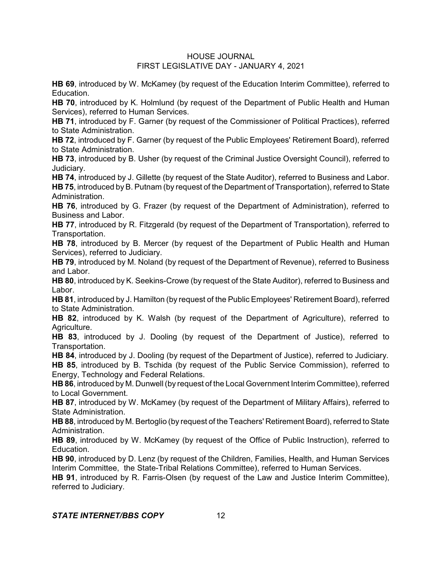**HB 69**, introduced by W. McKamey (by request of the Education Interim Committee), referred to **Education** 

**HB 70**, introduced by K. Holmlund (by request of the Department of Public Health and Human Services), referred to Human Services.

**HB 71**, introduced by F. Garner (by request of the Commissioner of Political Practices), referred to State Administration.

**HB 72**, introduced by F. Garner (by request of the Public Employees' Retirement Board), referred to State Administration.

**HB 73**, introduced by B. Usher (by request of the Criminal Justice Oversight Council), referred to Judiciary.

**HB 74**, introduced by J. Gillette (by request of the State Auditor), referred to Business and Labor. **HB 75**, introduced by B. Putnam (by request of the Department of Transportation), referred to State Administration.

**HB 76**, introduced by G. Frazer (by request of the Department of Administration), referred to Business and Labor.

**HB 77**, introduced by R. Fitzgerald (by request of the Department of Transportation), referred to Transportation.

**HB 78**, introduced by B. Mercer (by request of the Department of Public Health and Human Services), referred to Judiciary.

**HB 79**, introduced by M. Noland (by request of the Department of Revenue), referred to Business and Labor.

**HB 80**, introduced by K. Seekins-Crowe (by request of the State Auditor), referred to Business and Labor.

**HB 81**, introduced by J. Hamilton (by request of the Public Employees' Retirement Board), referred to State Administration.

**HB 82**, introduced by K. Walsh (by request of the Department of Agriculture), referred to Agriculture.

**HB 83**, introduced by J. Dooling (by request of the Department of Justice), referred to Transportation.

**HB 84**, introduced by J. Dooling (by request of the Department of Justice), referred to Judiciary. **HB 85**, introduced by B. Tschida (by request of the Public Service Commission), referred to Energy, Technology and Federal Relations.

**HB 86**, introduced by M. Dunwell (by request of the Local Government Interim Committee), referred to Local Government.

**HB 87**, introduced by W. McKamey (by request of the Department of Military Affairs), referred to State Administration.

**HB 88**, introduced by M. Bertoglio (by request of the Teachers' Retirement Board), referred to State Administration.

**HB 89**, introduced by W. McKamey (by request of the Office of Public Instruction), referred to Education.

**HB 90**, introduced by D. Lenz (by request of the Children, Families, Health, and Human Services Interim Committee, the State-Tribal Relations Committee), referred to Human Services.

**HB 91**, introduced by R. Farris-Olsen (by request of the Law and Justice Interim Committee), referred to Judiciary.